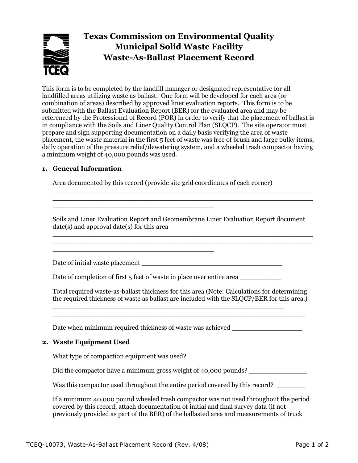# **Texas Commission on Environmental Quality Municipal Solid Waste Facility Waste-As-Ballast Placement Record**

This form is to be completed by the landfill manager or designated representative for all landfilled areas utilizing waste as ballast. One form will be developed for each area (or combination of areas) described by approved liner evaluation reports. This form is to be submitted with the Ballast Evaluation Report (BER) for the evaluated area and may be referenced by the Professional of Record (POR) in order to verify that the placement of ballast is in compliance with the Soils and Liner Quality Control Plan (SLQCP). The site operator must prepare and sign supporting documentation on a daily basis verifying the area of waste placement, the waste material in the first 5 feet of waste was free of brush and large bulky items, daily operation of the pressure relief/dewatering system, and a wheeled trash compactor having a minimum weight of 40,000 pounds was used.

### **1. General Information**

Area documented by this record (provide site grid coordinates of each corner)

Soils and Liner Evaluation Report and Geomembrane Liner Evaluation Report document date(s) and approval date(s) for this area \_\_\_\_\_\_\_\_\_\_\_\_\_\_\_\_\_\_\_\_\_\_\_\_\_\_\_\_\_\_\_\_\_\_\_\_\_\_\_\_\_\_\_\_\_\_\_\_\_\_\_\_\_\_\_\_\_\_\_\_\_\_\_

\_\_\_\_\_\_\_\_\_\_\_\_\_\_\_\_\_\_\_\_\_\_\_\_\_\_\_\_\_\_\_\_\_\_\_\_\_\_\_\_\_\_\_\_\_\_\_\_\_\_\_\_\_\_\_\_\_\_\_\_\_\_\_ \_\_\_\_\_\_\_\_\_\_\_\_\_\_\_\_\_\_\_\_\_\_\_\_\_\_\_\_\_\_\_\_\_\_\_\_\_\_\_\_\_\_\_\_\_\_\_\_\_\_\_\_\_\_\_\_\_\_\_\_\_\_\_

Date of initial waste placement

Date of completion of first 5 feet of waste in place over entire area

\_\_\_\_\_\_\_\_\_\_\_\_\_\_\_\_\_\_\_\_\_\_\_\_\_\_\_\_\_\_\_\_\_\_\_\_\_\_\_

\_\_\_\_\_\_\_\_\_\_\_\_\_\_\_\_\_\_\_\_\_\_\_\_\_\_\_\_\_\_\_\_\_\_\_\_\_\_\_

Total required waste-as-ballast thickness for this area (Note: Calculations for determining the required thickness of waste as ballast are included with the SLQCP/BER for this area.)

Date when minimum required thickness of waste was achieved  $\Box$ 

\_\_\_\_\_\_\_\_\_\_\_\_\_\_\_\_\_\_\_\_\_\_\_\_\_\_\_\_\_\_\_\_\_\_\_\_\_\_\_\_\_\_\_\_\_\_\_\_\_\_\_\_\_\_\_\_

#### **2. Waste Equipment Used**

What type of compaction equipment was used?

Did the compactor have a minimum gross weight of 40,000 pounds?

Was this compactor used throughout the entire period covered by this record?

If a minimum 40,000 pound wheeled trash compactor was not used throughout the period covered by this record, attach documentation of initial and final survey data (if not previously provided as part of the BER) of the ballasted area and measurements of truck